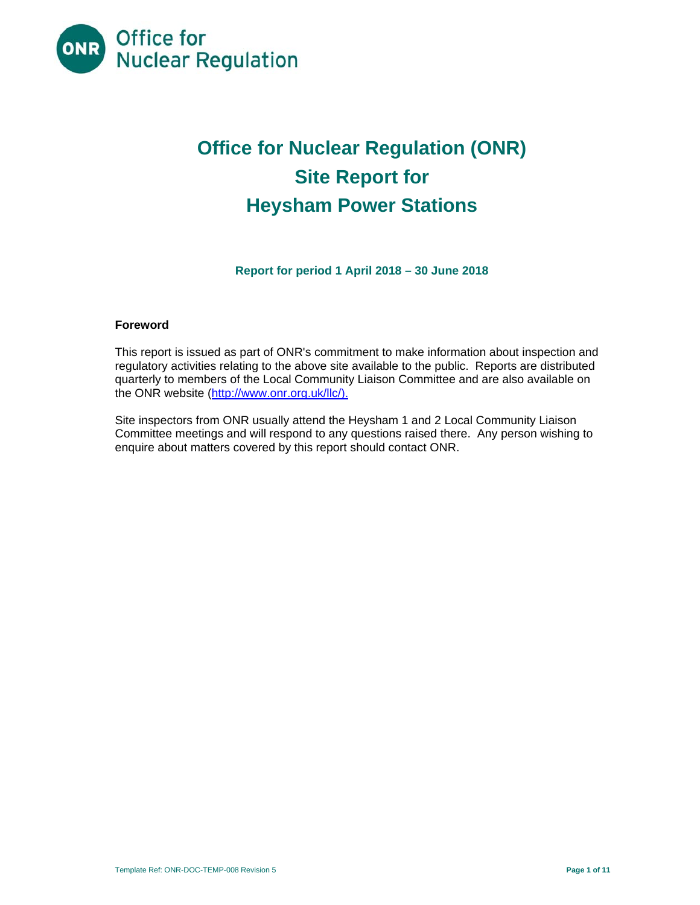

# **Office for Nuclear Regulation (ONR) Site Report for Heysham Power Stations**

**Report for period 1 April 2018 – 30 June 2018** 

#### **Foreword**

This report is issued as part of ONR's commitment to make information about inspection and regulatory activities relating to the above site available to the public. Reports are distributed quarterly to members of the Local Community Liaison Committee and are also available on the ONR website (http://www.onr.org.uk/llc/).

Site inspectors from ONR usually attend the Heysham 1 and 2 Local Community Liaison Committee meetings and will respond to any questions raised there. Any person wishing to enquire about matters covered by this report should contact ONR.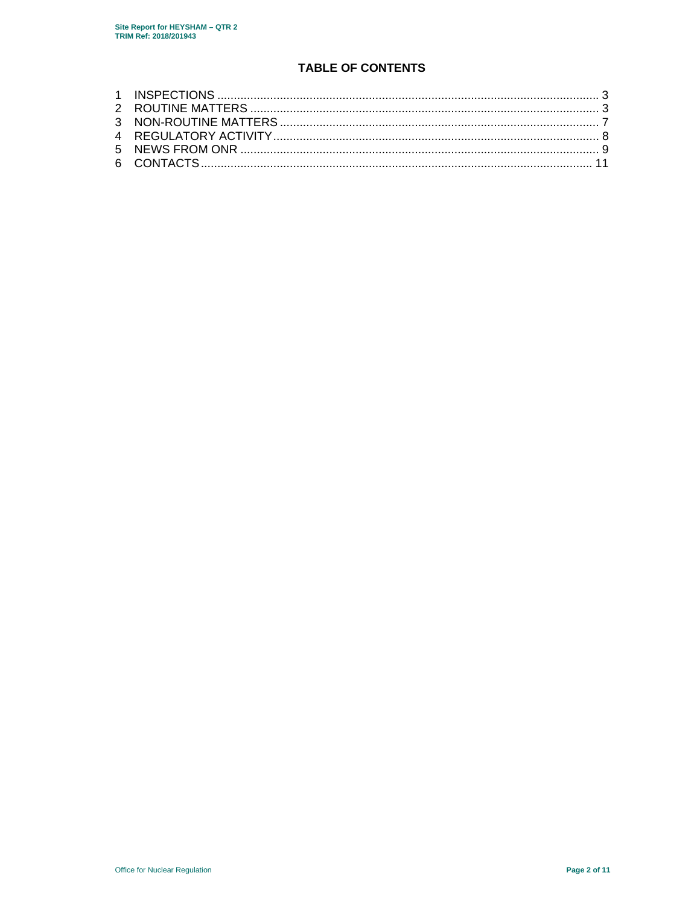# **TABLE OF CONTENTS**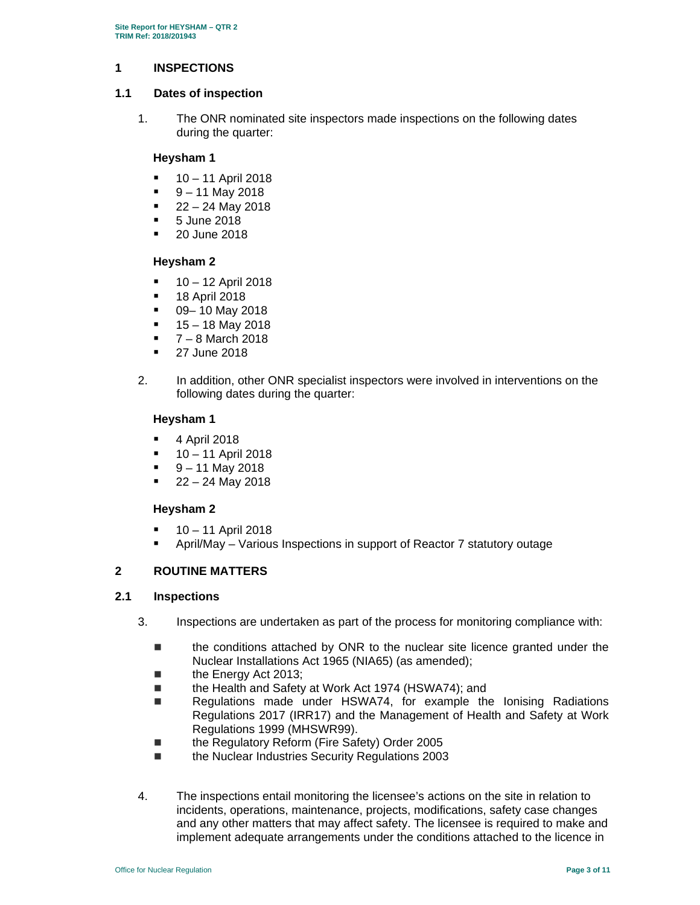## **1 INSPECTIONS**

#### **1.1 Dates of inspection**

1. The ONR nominated site inspectors made inspections on the following dates during the quarter:

## **Heysham 1**

- 10 11 April 2018
- 9 11 May 2018
- 22 24 May 2018
- 5 June 2018
- 20 June 2018

## **Heysham 2**

- $10 12$  April 2018
- **18 April 2018**
- $\blacksquare$  09– 10 May 2018
- $15 18$  May 2018
- 7 8 March 2018
- **27 June 2018**
- 2. In addition, other ONR specialist inspectors were involved in interventions on the following dates during the quarter:

## **Heysham 1**

- **4 April 2018**
- 10 11 April 2018
- 9 11 May 2018
- 22 24 May 2018

# **Heysham 2**

- 10 11 April 2018
- April/May Various Inspections in support of Reactor 7 statutory outage

# **2 ROUTINE MATTERS**

# **2.1 Inspections**

- 3. Inspections are undertaken as part of the process for monitoring compliance with:
	- the conditions attached by ONR to the nuclear site licence granted under the Nuclear Installations Act 1965 (NIA65) (as amended);
	- the Energy Act 2013;
	- the Health and Safety at Work Act 1974 (HSWA74); and
	- Regulations made under HSWA74, for example the lonising Radiations Regulations 2017 (IRR17) and the Management of Health and Safety at Work Regulations 1999 (MHSWR99).
	- the Regulatory Reform (Fire Safety) Order 2005
	- the Nuclear Industries Security Regulations 2003
- 4. The inspections entail monitoring the licensee's actions on the site in relation to incidents, operations, maintenance, projects, modifications, safety case changes and any other matters that may affect safety. The licensee is required to make and implement adequate arrangements under the conditions attached to the licence in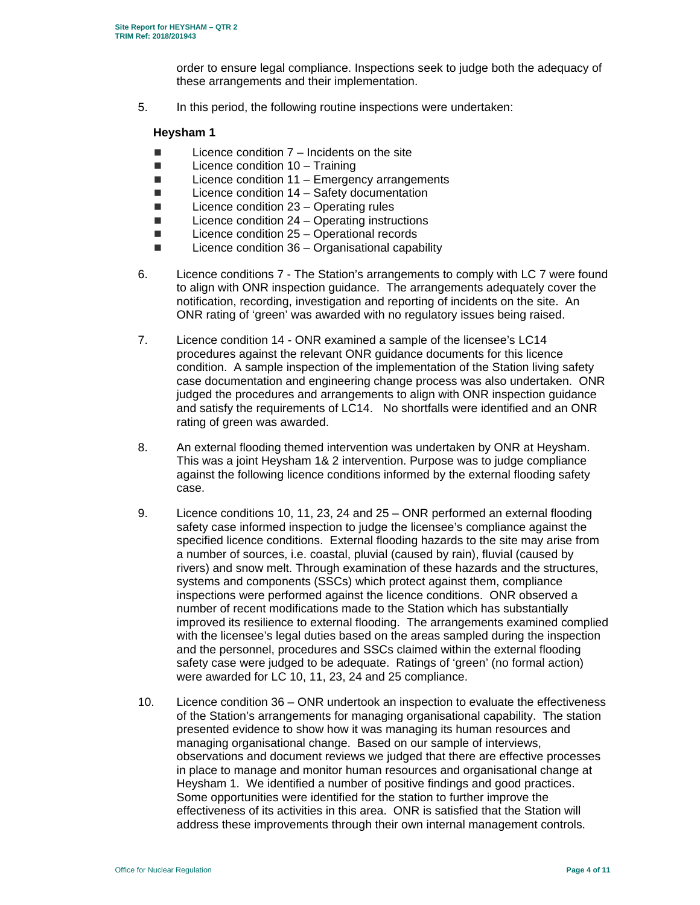order to ensure legal compliance. Inspections seek to judge both the adequacy of these arrangements and their implementation.

5. In this period, the following routine inspections were undertaken:

## **Heysham 1**

- $\blacksquare$  Licence condition  $7$  Incidents on the site
- $\Box$  Licence condition 10 Training
- $\blacksquare$  Licence condition 11 Emergency arrangements
- $\blacksquare$  Licence condition 14 Safety documentation
- $\blacksquare$  Licence condition 23 Operating rules
- $\blacksquare$  Licence condition 24 Operating instructions
- $\blacksquare$  Licence condition 25 Operational records
- $\blacksquare$  Licence condition 36 Organisational capability
- 6. Licence conditions 7 The Station's arrangements to comply with LC 7 were found to align with ONR inspection guidance. The arrangements adequately cover the notification, recording, investigation and reporting of incidents on the site. An ONR rating of 'green' was awarded with no regulatory issues being raised.
- 7. Licence condition 14 ONR examined a sample of the licensee's LC14 procedures against the relevant ONR guidance documents for this licence condition. A sample inspection of the implementation of the Station living safety case documentation and engineering change process was also undertaken. ONR judged the procedures and arrangements to align with ONR inspection guidance and satisfy the requirements of LC14. No shortfalls were identified and an ONR rating of green was awarded.
- 8. An external flooding themed intervention was undertaken by ONR at Heysham. This was a joint Heysham 1& 2 intervention. Purpose was to judge compliance against the following licence conditions informed by the external flooding safety case.
- 9. Licence conditions 10, 11, 23, 24 and 25 ONR performed an external flooding safety case informed inspection to judge the licensee's compliance against the specified licence conditions. External flooding hazards to the site may arise from a number of sources, i.e. coastal, pluvial (caused by rain), fluvial (caused by rivers) and snow melt. Through examination of these hazards and the structures, systems and components (SSCs) which protect against them, compliance inspections were performed against the licence conditions. ONR observed a number of recent modifications made to the Station which has substantially improved its resilience to external flooding. The arrangements examined complied with the licensee's legal duties based on the areas sampled during the inspection and the personnel, procedures and SSCs claimed within the external flooding safety case were judged to be adequate. Ratings of 'green' (no formal action) were awarded for LC 10, 11, 23, 24 and 25 compliance.
- 10. Licence condition 36 ONR undertook an inspection to evaluate the effectiveness of the Station's arrangements for managing organisational capability. The station presented evidence to show how it was managing its human resources and managing organisational change. Based on our sample of interviews, observations and document reviews we judged that there are effective processes in place to manage and monitor human resources and organisational change at Heysham 1. We identified a number of positive findings and good practices. Some opportunities were identified for the station to further improve the effectiveness of its activities in this area. ONR is satisfied that the Station will address these improvements through their own internal management controls.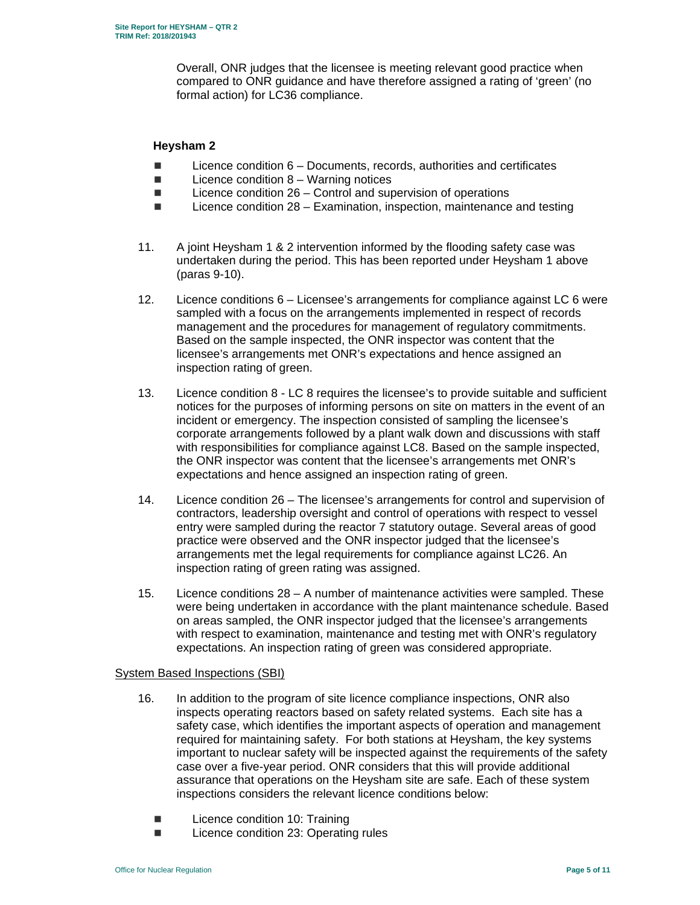Overall, ONR judges that the licensee is meeting relevant good practice when compared to ONR guidance and have therefore assigned a rating of 'green' (no formal action) for LC36 compliance.

### **Heysham 2**

- $\blacksquare$  Licence condition  $6 -$  Documents, records, authorities and certificates
- $\blacksquare$  Licence condition 8 Warning notices
- $\blacksquare$  Licence condition 26 Control and supervision of operations
- Licence condition 28 Examination, inspection, maintenance and testing
- 11. A joint Heysham 1 & 2 intervention informed by the flooding safety case was undertaken during the period. This has been reported under Heysham 1 above (paras 9-10).
- 12. Licence conditions 6 Licensee's arrangements for compliance against LC 6 were sampled with a focus on the arrangements implemented in respect of records management and the procedures for management of regulatory commitments. Based on the sample inspected, the ONR inspector was content that the licensee's arrangements met ONR's expectations and hence assigned an inspection rating of green.
- 13. Licence condition 8 LC 8 requires the licensee's to provide suitable and sufficient notices for the purposes of informing persons on site on matters in the event of an incident or emergency. The inspection consisted of sampling the licensee's corporate arrangements followed by a plant walk down and discussions with staff with responsibilities for compliance against LC8. Based on the sample inspected, the ONR inspector was content that the licensee's arrangements met ONR's expectations and hence assigned an inspection rating of green.
- 14. Licence condition 26 The licensee's arrangements for control and supervision of contractors, leadership oversight and control of operations with respect to vessel entry were sampled during the reactor 7 statutory outage. Several areas of good practice were observed and the ONR inspector judged that the licensee's arrangements met the legal requirements for compliance against LC26. An inspection rating of green rating was assigned.
- 15. Licence conditions 28 A number of maintenance activities were sampled. These were being undertaken in accordance with the plant maintenance schedule. Based on areas sampled, the ONR inspector judged that the licensee's arrangements with respect to examination, maintenance and testing met with ONR's regulatory expectations. An inspection rating of green was considered appropriate.

# System Based Inspections (SBI)

- 16. In addition to the program of site licence compliance inspections, ONR also inspects operating reactors based on safety related systems. Each site has a safety case, which identifies the important aspects of operation and management required for maintaining safety. For both stations at Heysham, the key systems important to nuclear safety will be inspected against the requirements of the safety case over a five-year period. ONR considers that this will provide additional assurance that operations on the Heysham site are safe. Each of these system inspections considers the relevant licence conditions below:
	- Licence condition 10: Training
	- Licence condition 23: Operating rules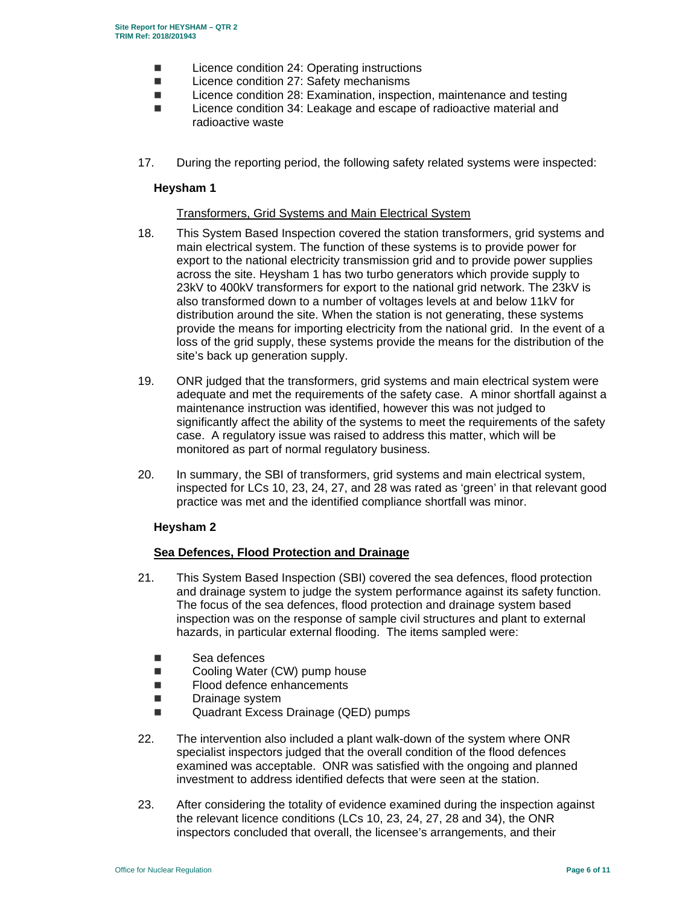- Licence condition 24: Operating instructions
- Licence condition 27: Safety mechanisms
- Licence condition 28: Examination, inspection, maintenance and testing
- Licence condition 34: Leakage and escape of radioactive material and radioactive waste
- 17. During the reporting period, the following safety related systems were inspected:

### **Heysham 1**

## Transformers, Grid Systems and Main Electrical System

- 18. This System Based Inspection covered the station transformers, grid systems and main electrical system. The function of these systems is to provide power for export to the national electricity transmission grid and to provide power supplies across the site. Heysham 1 has two turbo generators which provide supply to 23kV to 400kV transformers for export to the national grid network. The 23kV is also transformed down to a number of voltages levels at and below 11kV for distribution around the site. When the station is not generating, these systems provide the means for importing electricity from the national grid. In the event of a loss of the grid supply, these systems provide the means for the distribution of the site's back up generation supply.
- 19. ONR judged that the transformers, grid systems and main electrical system were adequate and met the requirements of the safety case. A minor shortfall against a maintenance instruction was identified, however this was not judged to significantly affect the ability of the systems to meet the requirements of the safety case. A regulatory issue was raised to address this matter, which will be monitored as part of normal regulatory business.
- 20. In summary, the SBI of transformers, grid systems and main electrical system, inspected for LCs 10, 23, 24, 27, and 28 was rated as 'green' in that relevant good practice was met and the identified compliance shortfall was minor.

#### **Heysham 2**

#### **Sea Defences, Flood Protection and Drainage**

- 21. This System Based Inspection (SBI) covered the sea defences, flood protection and drainage system to judge the system performance against its safety function. The focus of the sea defences, flood protection and drainage system based inspection was on the response of sample civil structures and plant to external hazards, in particular external flooding. The items sampled were:
	- Sea defences
	- Cooling Water (CW) pump house
	- **Flood defence enhancements**
	- **Drainage system**
	- Quadrant Excess Drainage (QED) pumps
- 22. The intervention also included a plant walk-down of the system where ONR specialist inspectors judged that the overall condition of the flood defences examined was acceptable. ONR was satisfied with the ongoing and planned investment to address identified defects that were seen at the station.
- 23. After considering the totality of evidence examined during the inspection against the relevant licence conditions (LCs 10, 23, 24, 27, 28 and 34), the ONR inspectors concluded that overall, the licensee's arrangements, and their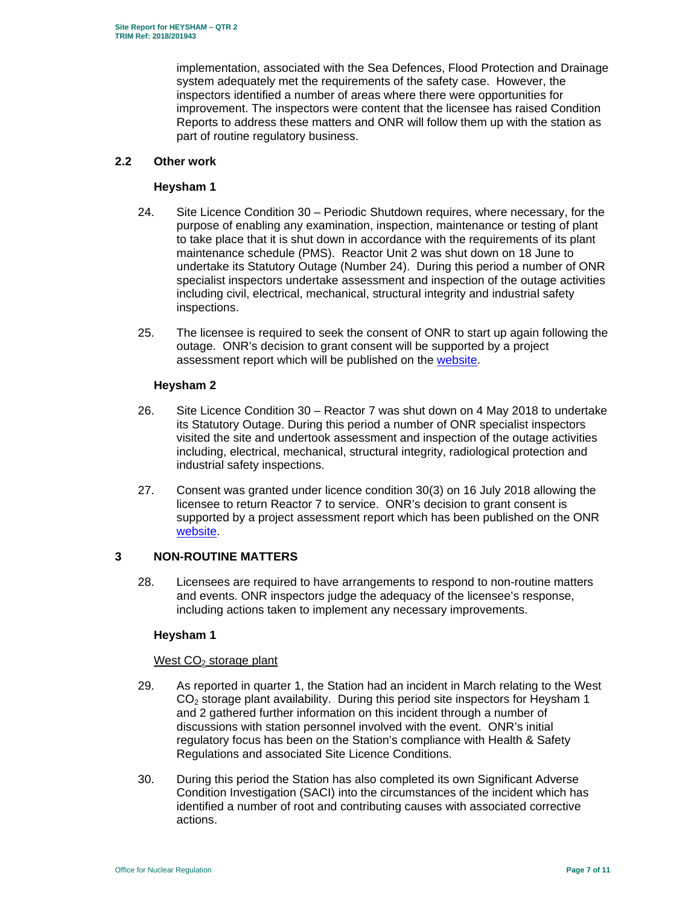implementation, associated with the Sea Defences, Flood Protection and Drainage system adequately met the requirements of the safety case. However, the inspectors identified a number of areas where there were opportunities for improvement. The inspectors were content that the licensee has raised Condition Reports to address these matters and ONR will follow them up with the station as part of routine regulatory business.

## **2.2 Other work**

### **Heysham 1**

- 24. Site Licence Condition 30 Periodic Shutdown requires, where necessary, for the purpose of enabling any examination, inspection, maintenance or testing of plant to take place that it is shut down in accordance with the requirements of its plant maintenance schedule (PMS). Reactor Unit 2 was shut down on 18 June to undertake its Statutory Outage (Number 24). During this period a number of ONR specialist inspectors undertake assessment and inspection of the outage activities including civil, electrical, mechanical, structural integrity and industrial safety inspections.
- 25. The licensee is required to seek the consent of ONR to start up again following the outage. ONR's decision to grant consent will be supported by a project assessment report which will be published on the website.

## **Heysham 2**

- 26. Site Licence Condition 30 Reactor 7 was shut down on 4 May 2018 to undertake its Statutory Outage. During this period a number of ONR specialist inspectors visited the site and undertook assessment and inspection of the outage activities including, electrical, mechanical, structural integrity, radiological protection and industrial safety inspections.
- 27. Consent was granted under licence condition 30(3) on 16 July 2018 allowing the licensee to return Reactor 7 to service. ONR's decision to grant consent is supported by a project assessment report which has been published on the ONR website.

# **3 NON-ROUTINE MATTERS**

28. Licensees are required to have arrangements to respond to non-routine matters and events. ONR inspectors judge the adequacy of the licensee's response, including actions taken to implement any necessary improvements.

# **Heysham 1**

# West CO<sub>2</sub> storage plant

- 29. As reported in quarter 1, the Station had an incident in March relating to the West  $CO<sub>2</sub>$  storage plant availability. During this period site inspectors for Heysham 1 and 2 gathered further information on this incident through a number of discussions with station personnel involved with the event. ONR's initial regulatory focus has been on the Station's compliance with Health & Safety Regulations and associated Site Licence Conditions.
- 30. During this period the Station has also completed its own Significant Adverse Condition Investigation (SACI) into the circumstances of the incident which has identified a number of root and contributing causes with associated corrective actions.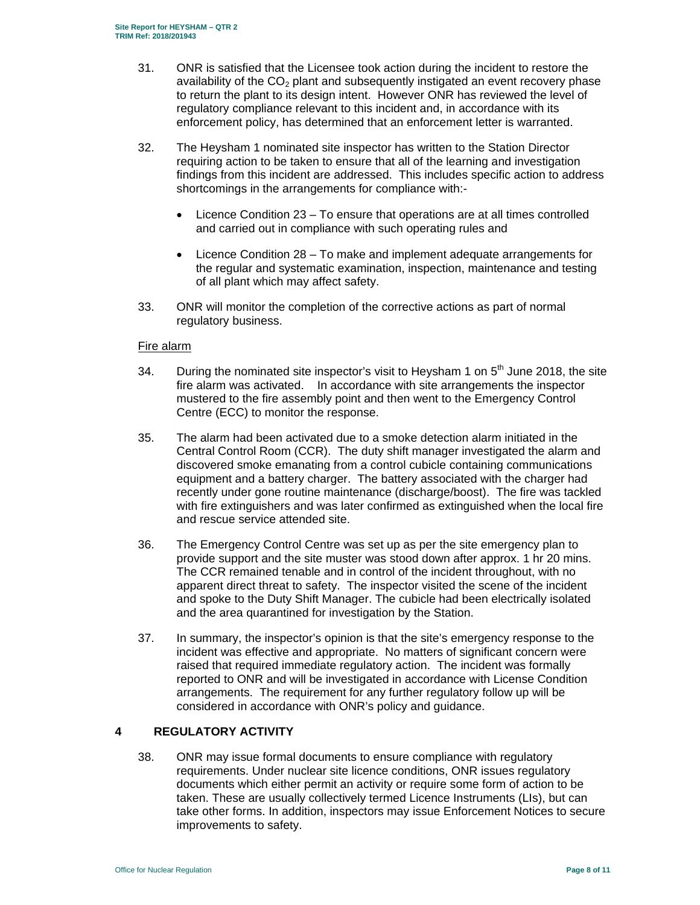- 31. ONR is satisfied that the Licensee took action during the incident to restore the availability of the  $CO<sub>2</sub>$  plant and subsequently instigated an event recovery phase to return the plant to its design intent. However ONR has reviewed the level of regulatory compliance relevant to this incident and, in accordance with its enforcement policy, has determined that an enforcement letter is warranted.
- 32. The Heysham 1 nominated site inspector has written to the Station Director requiring action to be taken to ensure that all of the learning and investigation findings from this incident are addressed. This includes specific action to address shortcomings in the arrangements for compliance with:-
	- Licence Condition 23 To ensure that operations are at all times controlled and carried out in compliance with such operating rules and
	- Licence Condition 28 To make and implement adequate arrangements for the regular and systematic examination, inspection, maintenance and testing of all plant which may affect safety.
- 33. ONR will monitor the completion of the corrective actions as part of normal regulatory business.

## Fire alarm

- 34. During the nominated site inspector's visit to Heysham 1 on  $5<sup>th</sup>$  June 2018, the site fire alarm was activated. In accordance with site arrangements the inspector mustered to the fire assembly point and then went to the Emergency Control Centre (ECC) to monitor the response.
- 35. The alarm had been activated due to a smoke detection alarm initiated in the Central Control Room (CCR). The duty shift manager investigated the alarm and discovered smoke emanating from a control cubicle containing communications equipment and a battery charger. The battery associated with the charger had recently under gone routine maintenance (discharge/boost). The fire was tackled with fire extinguishers and was later confirmed as extinguished when the local fire and rescue service attended site.
- 36. The Emergency Control Centre was set up as per the site emergency plan to provide support and the site muster was stood down after approx. 1 hr 20 mins. The CCR remained tenable and in control of the incident throughout, with no apparent direct threat to safety. The inspector visited the scene of the incident and spoke to the Duty Shift Manager. The cubicle had been electrically isolated and the area quarantined for investigation by the Station.
- 37. In summary, the inspector's opinion is that the site's emergency response to the incident was effective and appropriate. No matters of significant concern were raised that required immediate regulatory action. The incident was formally reported to ONR and will be investigated in accordance with License Condition arrangements. The requirement for any further regulatory follow up will be considered in accordance with ONR's policy and guidance.

# **4 REGULATORY ACTIVITY**

38. ONR may issue formal documents to ensure compliance with regulatory requirements. Under nuclear site licence conditions, ONR issues regulatory documents which either permit an activity or require some form of action to be taken. These are usually collectively termed Licence Instruments (LIs), but can take other forms. In addition, inspectors may issue Enforcement Notices to secure improvements to safety.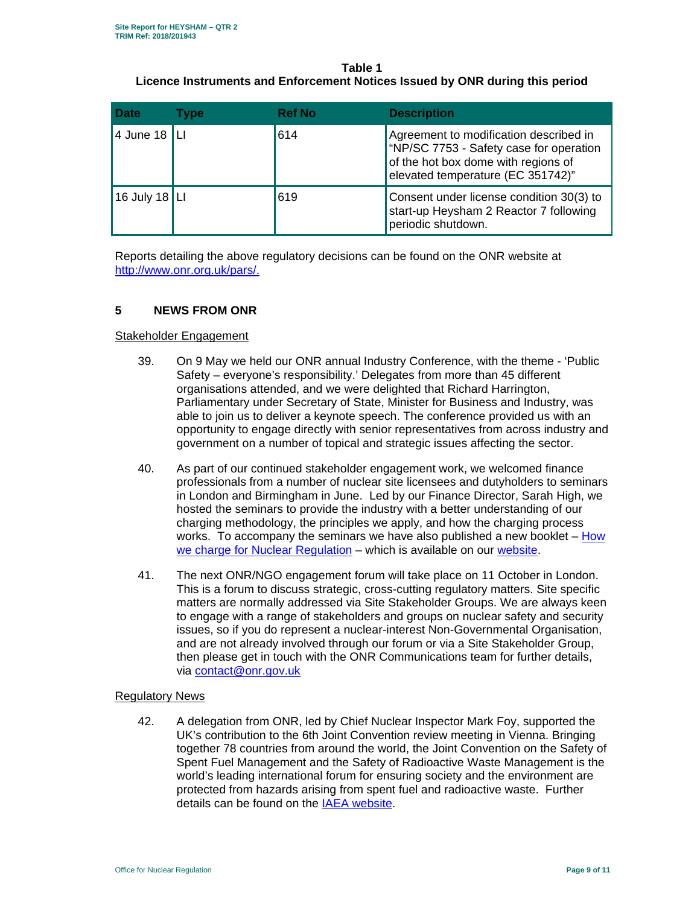# **Table 1 Licence Instruments and Enforcement Notices Issued by ONR during this period**

| <b>Date</b>     | Type | <b>Ref No</b> | <b>Description</b>                                                                                                                                            |
|-----------------|------|---------------|---------------------------------------------------------------------------------------------------------------------------------------------------------------|
| 4 June 18  LI   |      | 614           | Agreement to modification described in<br>"NP/SC 7753 - Safety case for operation<br>of the hot box dome with regions of<br>elevated temperature (EC 351742)" |
| 16 July 18   LI |      | 619           | Consent under license condition 30(3) to<br>start-up Heysham 2 Reactor 7 following<br>periodic shutdown.                                                      |

Reports detailing the above regulatory decisions can be found on the ONR website at http://www.onr.org.uk/pars/.

# **5 NEWS FROM ONR**

#### Stakeholder Engagement

- 39. On 9 May we held our ONR annual Industry Conference, with the theme 'Public Safety – everyone's responsibility.' Delegates from more than 45 different organisations attended, and we were delighted that Richard Harrington, Parliamentary under Secretary of State, Minister for Business and Industry, was able to join us to deliver a keynote speech. The conference provided us with an opportunity to engage directly with senior representatives from across industry and government on a number of topical and strategic issues affecting the sector.
- 40. As part of our continued stakeholder engagement work, we welcomed finance professionals from a number of nuclear site licensees and dutyholders to seminars in London and Birmingham in June. Led by our Finance Director, Sarah High, we hosted the seminars to provide the industry with a better understanding of our charging methodology, the principles we apply, and how the charging process works. To accompany the seminars we have also published a new booklet – How we charge for Nuclear Regulation – which is available on our website.
- 41. The next ONR/NGO engagement forum will take place on 11 October in London. This is a forum to discuss strategic, cross-cutting regulatory matters. Site specific matters are normally addressed via Site Stakeholder Groups. We are always keen to engage with a range of stakeholders and groups on nuclear safety and security issues, so if you do represent a nuclear-interest Non-Governmental Organisation, and are not already involved through our forum or via a Site Stakeholder Group, then please get in touch with the ONR Communications team for further details, via contact@onr.gov.uk

#### Regulatory News

42. A delegation from ONR, led by Chief Nuclear Inspector Mark Foy, supported the UK's contribution to the 6th Joint Convention review meeting in Vienna. Bringing together 78 countries from around the world, the Joint Convention on the Safety of Spent Fuel Management and the Safety of Radioactive Waste Management is the world's leading international forum for ensuring society and the environment are protected from hazards arising from spent fuel and radioactive waste. Further details can be found on the IAEA website.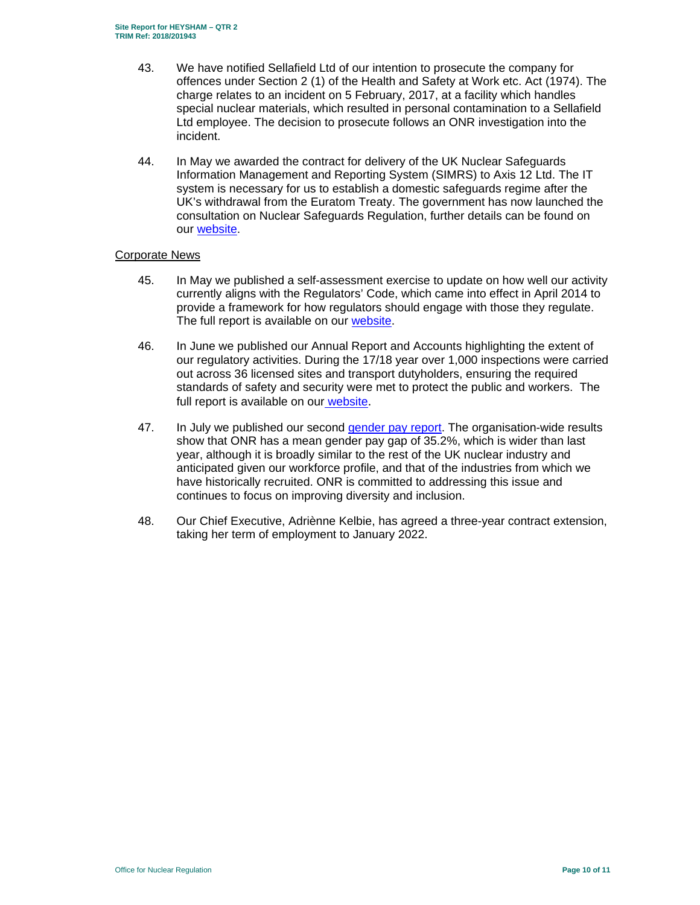- 43. We have notified Sellafield Ltd of our intention to prosecute the company for offences under Section 2 (1) of the Health and Safety at Work etc. Act (1974). The charge relates to an incident on 5 February, 2017, at a facility which handles special nuclear materials, which resulted in personal contamination to a Sellafield Ltd employee. The decision to prosecute follows an ONR investigation into the incident.
- 44. In May we awarded the contract for delivery of the UK Nuclear Safeguards Information Management and Reporting System (SIMRS) to Axis 12 Ltd. The IT system is necessary for us to establish a domestic safeguards regime after the UK's withdrawal from the Euratom Treaty. The government has now launched the consultation on Nuclear Safeguards Regulation, further details can be found on our website.

#### Corporate News

- 45. In May we published a self-assessment exercise to update on how well our activity currently aligns with the Regulators' Code, which came into effect in April 2014 to provide a framework for how regulators should engage with those they regulate. The full report is available on our website.
- 46. In June we published our Annual Report and Accounts highlighting the extent of our regulatory activities. During the 17/18 year over 1,000 inspections were carried out across 36 licensed sites and transport dutyholders, ensuring the required standards of safety and security were met to protect the public and workers. The full report is available on our website.
- 47. In July we published our second gender pay report. The organisation-wide results show that ONR has a mean gender pay gap of 35.2%, which is wider than last year, although it is broadly similar to the rest of the UK nuclear industry and anticipated given our workforce profile, and that of the industries from which we have historically recruited. ONR is committed to addressing this issue and continues to focus on improving diversity and inclusion.
- 48. Our Chief Executive, Adriènne Kelbie, has agreed a three-year contract extension, taking her term of employment to January 2022.